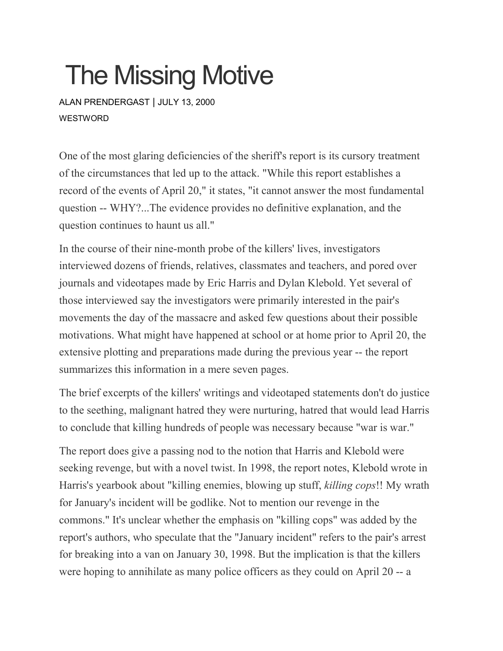## The Missing Motive

ALAN [PRENDERGAST](https://www.westword.com/authors/alan-prendergast-5052731) | JULY 13, 2000 WESTWORD

One of the most glaring deficiencies of the sheriff's report is its cursory treatment of the circumstances that led up to the attack. "While this report establishes a record of the events of April 20," it states, "it cannot answer the most fundamental question -- WHY?...The evidence provides no definitive explanation, and the question continues to haunt us all."

In the course of their nine-month probe of the killers' lives, investigators interviewed dozens of friends, relatives, classmates and teachers, and pored over journals and videotapes made by Eric Harris and Dylan Klebold. Yet several of those interviewed say the investigators were primarily interested in the pair's movements the day of the massacre and asked few questions about their possible motivations. What might have happened at school or at home prior to April 20, the extensive plotting and preparations made during the previous year -- the report summarizes this information in a mere seven pages.

The brief excerpts of the killers' writings and videotaped statements don't do justice to the seething, malignant hatred they were nurturing, hatred that would lead Harris to conclude that killing hundreds of people was necessary because "war is war."

The report does give a passing nod to the notion that Harris and Klebold were seeking revenge, but with a novel twist. In 1998, the report notes, Klebold wrote in Harris's yearbook about "killing enemies, blowing up stuff, *killing cops*!! My wrath for January's incident will be godlike. Not to mention our revenge in the commons." It's unclear whether the emphasis on "killing cops" was added by the report's authors, who speculate that the "January incident" refers to the pair's arrest for breaking into a van on January 30, 1998. But the implication is that the killers were hoping to annihilate as many police officers as they could on April 20 -- a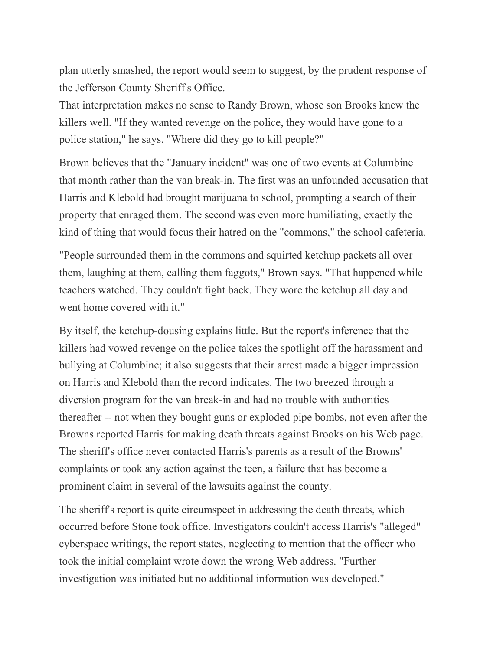plan utterly smashed, the report would seem to suggest, by the prudent response of the Jefferson County Sheriff's Office.

That interpretation makes no sense to Randy Brown, whose son Brooks knew the killers well. "If they wanted revenge on the police, they would have gone to a police station," he says. "Where did they go to kill people?"

Brown believes that the "January incident" was one of two events at Columbine that month rather than the van break-in. The first was an unfounded accusation that Harris and Klebold had brought marijuana to school, prompting a search of their property that enraged them. The second was even more humiliating, exactly the kind of thing that would focus their hatred on the "commons," the school cafeteria.

"People surrounded them in the commons and squirted ketchup packets all over them, laughing at them, calling them faggots," Brown says. "That happened while teachers watched. They couldn't fight back. They wore the ketchup all day and went home covered with it."

By itself, the ketchup-dousing explains little. But the report's inference that the killers had vowed revenge on the police takes the spotlight off the harassment and bullying at Columbine; it also suggests that their arrest made a bigger impression on Harris and Klebold than the record indicates. The two breezed through a diversion program for the van break-in and had no trouble with authorities thereafter -- not when they bought guns or exploded pipe bombs, not even after the Browns reported Harris for making death threats against Brooks on his Web page. The sheriff's office never contacted Harris's parents as a result of the Browns' complaints or took any action against the teen, a failure that has become a prominent claim in several of the lawsuits against the county.

The sheriff's report is quite circumspect in addressing the death threats, which occurred before Stone took office. Investigators couldn't access Harris's "alleged" cyberspace writings, the report states, neglecting to mention that the officer who took the initial complaint wrote down the wrong Web address. "Further investigation was initiated but no additional information was developed."